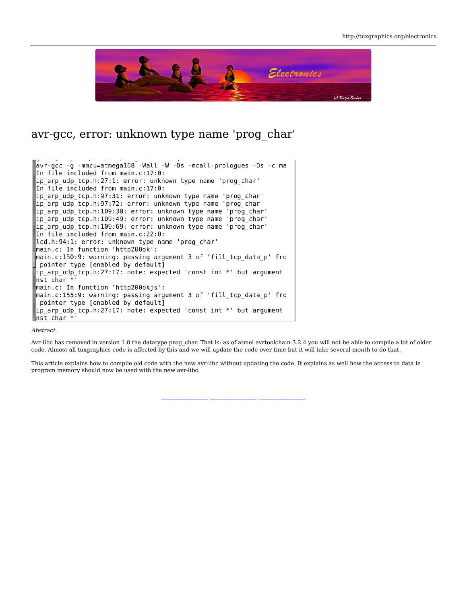

## avr-gcc, error: unknown type name 'prog\_char'

avr-gcc -g -mmcu=atmega168 -Wall -W -Os -mcall-prologues -Os -c ma In file included from main.c:17:0: ip\_arp\_udp\_tcp.h:27:1: error: unknown type name 'prog\_char' In file included from main.c:17:0: ip\_arp\_udp\_tcp.h:97:31: error: unknown type name 'prog\_char' ip arp udp tcp.h:97:72: error: unknown type name 'prog char' ip arp udp tcp.h:109:30: error: unknown type name 'prog char' ip arp udp tcp.h:109:49: error: unknown type name 'prog char' ip arp udp tcp.h:109:69: error: unknown type name 'prog char' In file included from main.c:22:0: lcd.h:94:1: error: unknown type name 'prog char' main.c: In function 'http200ok': main.c:150:9: warning: passing argument 3 of 'fill\_tcp\_data\_p' fro pointer type [enabled by default] ip\_arp\_udp\_tcp.h:27:17: note: expected 'const int \*' but argument nst char \*' main.c: In function 'http200okjs': main.c:155:9: warning: passing argument 3 of 'fill\_tcp\_data\_p' fro pointer type [enabled by default] ip\_arp\_udp\_tcp.h:27:17: note: expected 'const int \*' but argument  $\ln st$  char  $*$ 

#### Abstract:

Avr-libc has removed in version 1.8 the datatype prog\_char. That is: as of atmel avrtoolchain-3.2.4 you will not be able to compile a lot of older code. Almost all tuxgraphics code is affected by this and we will update the code over time but it will take several month to do that.

**\_\_\_\_\_\_\_\_\_\_\_\_\_\_\_\_\_ \_\_\_\_\_\_\_\_\_\_\_\_\_\_\_\_\_ \_\_\_\_\_\_\_\_\_\_\_\_\_\_\_\_\_**

This article explains how to compile old code with the new avr-libc without updating the code. It explains as well how the access to data in program memory should now be used with the new avr-libc.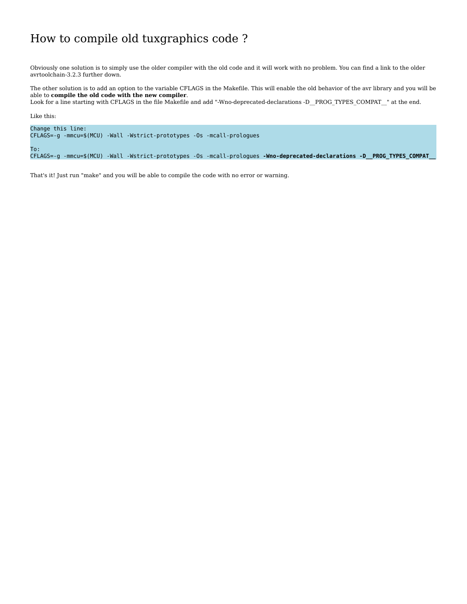# How to compile old tuxgraphics code ?

Obviously one solution is to simply use the older compiler with the old code and it will work with no problem. You can find a link to the older avrtoolchain-3.2.3 further down.

The other solution is to add an option to the variable CFLAGS in the Makefile. This will enable the old behavior of the avr library and you will be able to **compile the old code with the new compiler**. Look for a line starting with CFLAGS in the file Makefile and add "-Wno-deprecated-declarations -D\_\_PROG\_TYPES\_COMPAT\_\_" at the end.

```
Like this:
Change this line:
CFLAGS=-g -mmcu=$(MCU) -Wall -Wstrict-prototypes -Os -mcall-prologues
To:
CFLAGS=-g -mmcu=$(MCU) -Wall -Wstrict-prototypes -Os -mcall-prologues -Wno-deprecated-declarations -D__PROG_TYPES_COMPAT__
```
That's it! Just run "make" and you will be able to compile the code with no error or warning.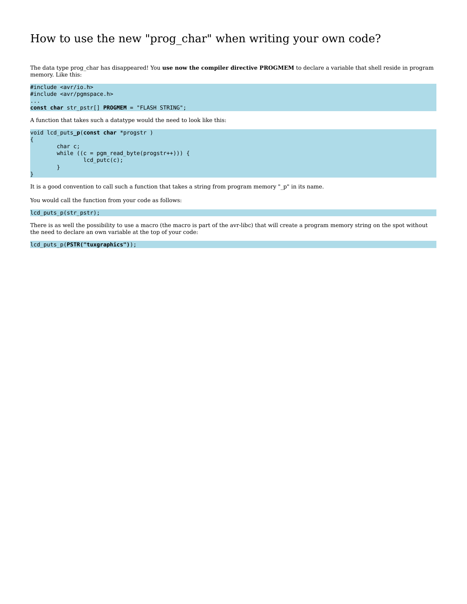## How to use the new "prog\_char" when writing your own code?

The data type prog\_char has disappeared! You **use now the compiler directive PROGMEM** to declare a variable that shell reside in program memory. Like this:

```
#include <avr/io.h>
#include <avr/pgmspace.h>
...
const char str_pstr[] PROGMEM = "FLASH STRING";
```
A function that takes such a datatype would the need to look like this:

```
void lcd_puts_p(const char *progstr )
         char c;
         while ((c = pgm_read_byte(progstr++))) {
                  lcd_putc(c);
         }
```
It is a good convention to call such a function that takes a string from program memory "\_p" in its name.

You would call the function from your code as follows:

### lcd\_puts\_p(str\_pstr);

{

}

There is as well the possibility to use a macro (the macro is part of the avr-libc) that will create a program memory string on the spot without the need to declare an own variable at the top of your code:

lcd\_puts\_p(**PSTR("tuxgraphics")**);